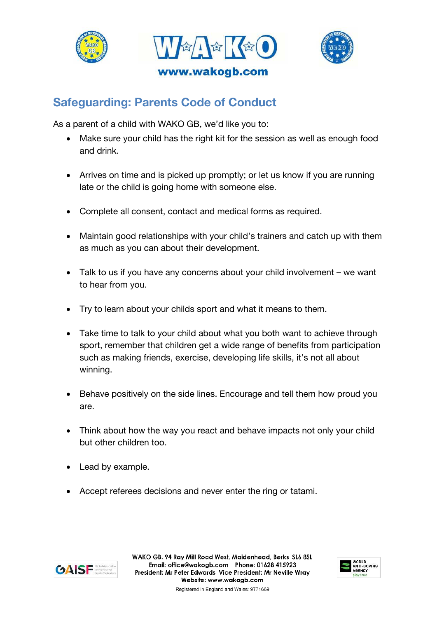





## **Safeguarding: Parents Code of Conduct**

As a parent of a child with WAKO GB, we'd like you to:

- Make sure your child has the right kit for the session as well as enough food and drink.
- Arrives on time and is picked up promptly; or let us know if you are running late or the child is going home with someone else.
- Complete all consent, contact and medical forms as required.
- Maintain good relationships with your child's trainers and catch up with them as much as you can about their development.
- Talk to us if you have any concerns about your child involvement we want to hear from you.
- Try to learn about your childs sport and what it means to them.
- Take time to talk to your child about what you both want to achieve through sport, remember that children get a wide range of benefits from participation such as making friends, exercise, developing life skills, it's not all about winning.
- Behave positively on the side lines. Encourage and tell them how proud you are.
- Think about how the way you react and behave impacts not only your child but other children too.
- Lead by example.
- Accept referees decisions and never enter the ring or tatami.